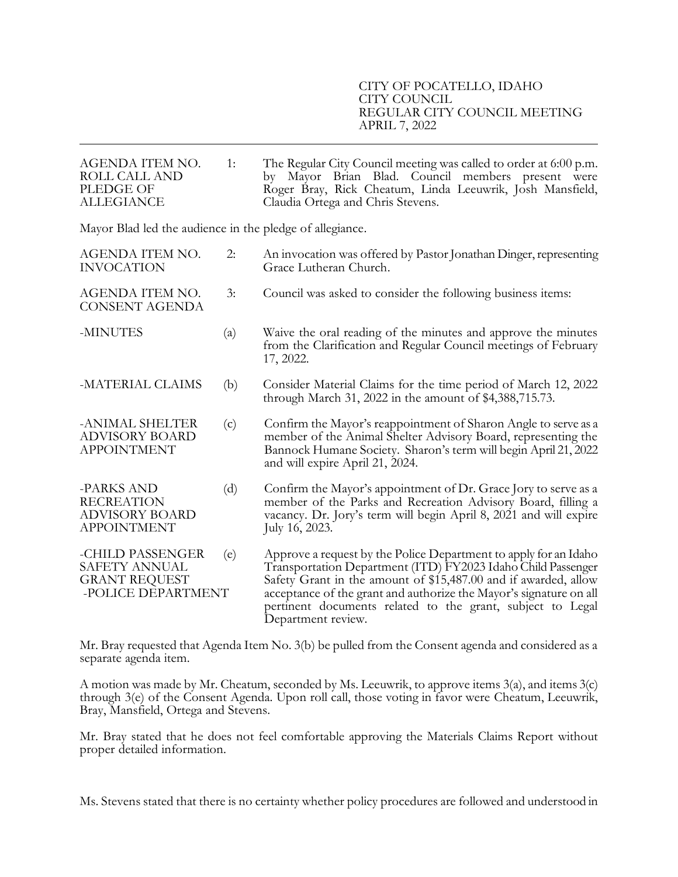| AGENDA ITEM NO.<br>ROLL CALL AND<br>PLEDGE OF<br><b>ALLEGIANCE</b>              | 1:  | The Regular City Council meeting was called to order at 6:00 p.m.<br>by Mayor Brian Blad. Council members present were<br>Roger Bray, Rick Cheatum, Linda Leeuwrik, Josh Mansfield,<br>Claudia Ortega and Chris Stevens.                                                                                                                                      |  |  |
|---------------------------------------------------------------------------------|-----|---------------------------------------------------------------------------------------------------------------------------------------------------------------------------------------------------------------------------------------------------------------------------------------------------------------------------------------------------------------|--|--|
| Mayor Blad led the audience in the pledge of allegiance.                        |     |                                                                                                                                                                                                                                                                                                                                                               |  |  |
| AGENDA ITEM NO.<br><b>INVOCATION</b>                                            | 2:  | An invocation was offered by Pastor Jonathan Dinger, representing<br>Grace Lutheran Church.                                                                                                                                                                                                                                                                   |  |  |
| AGENDA ITEM NO.<br><b>CONSENT AGENDA</b>                                        | 3:  | Council was asked to consider the following business items:                                                                                                                                                                                                                                                                                                   |  |  |
| -MINUTES                                                                        | (a) | Waive the oral reading of the minutes and approve the minutes<br>from the Clarification and Regular Council meetings of February<br>17, 2022.                                                                                                                                                                                                                 |  |  |
| -MATERIAL CLAIMS                                                                | (b) | Consider Material Claims for the time period of March 12, 2022<br>through March 31, 2022 in the amount of \$4,388,715.73.                                                                                                                                                                                                                                     |  |  |
| -ANIMAL SHELTER<br><b>ADVISORY BOARD</b><br><b>APPOINTMENT</b>                  | (c) | Confirm the Mayor's reappointment of Sharon Angle to serve as a<br>member of the Animal Shelter Advisory Board, representing the<br>Bannock Humane Society. Sharon's term will begin April 21, 2022<br>and will expire April 21, 2024.                                                                                                                        |  |  |
| -PARKS AND<br><b>RECREATION</b><br><b>ADVISORY BOARD</b><br><b>APPOINTMENT</b>  | (d) | Confirm the Mayor's appointment of Dr. Grace Jory to serve as a<br>member of the Parks and Recreation Advisory Board, filling a<br>vacancy. Dr. Jory's term will begin April 8, 2021 and will expire<br>July 16, 2023.                                                                                                                                        |  |  |
| -CHILD PASSENGER<br>SAFETY ANNUAL<br><b>GRANT REQUEST</b><br>-POLICE DEPARTMENT | (e) | Approve a request by the Police Department to apply for an Idaho<br>Transportation Department (ITD) FY2023 Idaho Child Passenger<br>Safety Grant in the amount of \$15,487.00 and if awarded, allow<br>acceptance of the grant and authorize the Mayor's signature on all<br>pertinent documents related to the grant, subject to Legal<br>Department review. |  |  |

Mr. Bray requested that Agenda Item No. 3(b) be pulled from the Consent agenda and considered as a separate agenda item.

A motion was made by Mr. Cheatum, seconded by Ms. Leeuwrik, to approve items 3(a), and items 3(c) through 3(e) of the Consent Agenda. Upon roll call, those voting in favor were Cheatum, Leeuwrik, Bray, Mansfield, Ortega and Stevens.

Mr. Bray stated that he does not feel comfortable approving the Materials Claims Report without proper detailed information.

Ms. Stevens stated that there is no certainty whether policy procedures are followed and understood in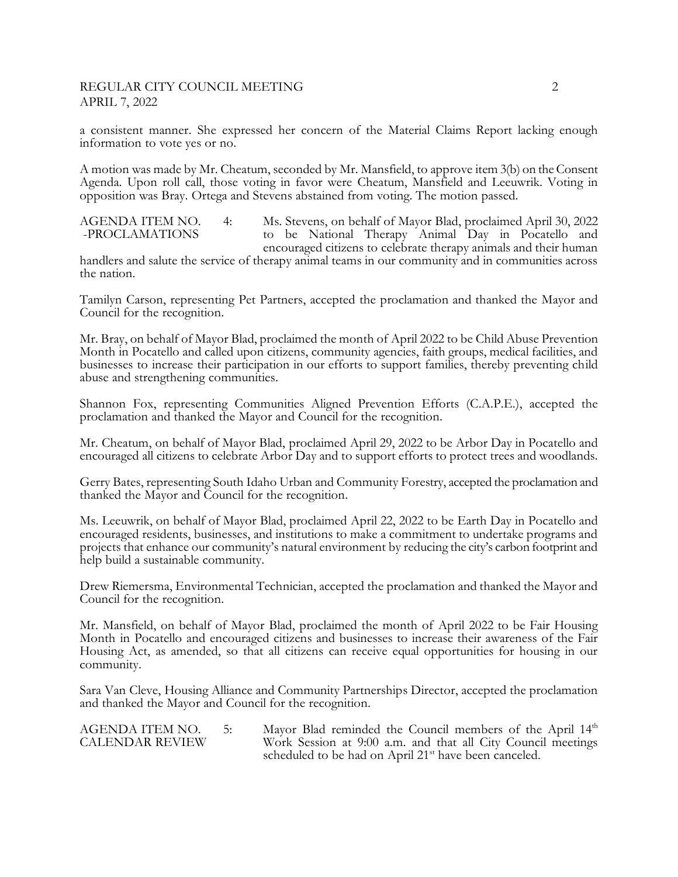# REGULAR CITY COUNCIL MEETING 2 APRIL 7, 2022

a consistent manner. She expressed her concern of the Material Claims Report lacking enough information to vote yes or no.

A motion was made by Mr. Cheatum, seconded by Mr. Mansfield, to approve item 3(b) on the Consent Agenda. Upon roll call, those voting in favor were Cheatum, Mansfield and Leeuwrik. Voting in opposition was Bray. Ortega and Stevens abstained from voting. The motion passed.

AGENDA ITEM NO. 4: Ms. Stevens, on behalf of Mayor Blad, proclaimed April 30, 2022<br>-PROCLAMATIONS to be National Therapy Animal Day in Pocatello and to be National Therapy Animal Day in Pocatello and encouraged citizens to celebrate therapy animals and their human

handlers and salute the service of therapy animal teams in our community and in communities across the nation.

Tamilyn Carson, representing Pet Partners, accepted the proclamation and thanked the Mayor and Council for the recognition.

Mr. Bray, on behalf of Mayor Blad, proclaimed the month of April 2022 to be Child Abuse Prevention Month in Pocatello and called upon citizens, community agencies, faith groups, medical facilities, and businesses to increase their participation in our efforts to support families, thereby preventing child abuse and strengthening communities.

Shannon Fox, representing Communities Aligned Prevention Efforts (C.A.P.E.), accepted the proclamation and thanked the Mayor and Council for the recognition.

Mr. Cheatum, on behalf of Mayor Blad, proclaimed April 29, 2022 to be Arbor Day in Pocatello and encouraged all citizens to celebrate Arbor Day and to support efforts to protect trees and woodlands.

Gerry Bates, representing South Idaho Urban and Community Forestry, accepted the proclamation and thanked the Mayor and Council for the recognition.

Ms. Leeuwrik, on behalf of Mayor Blad, proclaimed April 22, 2022 to be Earth Day in Pocatello and encouraged residents, businesses, and institutions to make a commitment to undertake programs and projects that enhance our community's natural environment by reducing the city's carbon footprint and help build a sustainable community.

Drew Riemersma, Environmental Technician, accepted the proclamation and thanked the Mayor and Council for the recognition.

Mr. Mansfield, on behalf of Mayor Blad, proclaimed the month of April 2022 to be Fair Housing Month in Pocatello and encouraged citizens and businesses to increase their awareness of the Fair Housing Act, as amended, so that all citizens can receive equal opportunities for housing in our community.

Sara Van Cleve, Housing Alliance and Community Partnerships Director, accepted the proclamation and thanked the Mayor and Council for the recognition.

AGENDA ITEM NO. 5: Mayor Blad reminded the Council members of the April 14<sup>th</sup> CALENDAR REVIEW Work Session at 9:00 a.m. and that all City Council meetings scheduled to be had on April 21<sup>st</sup> have been canceled.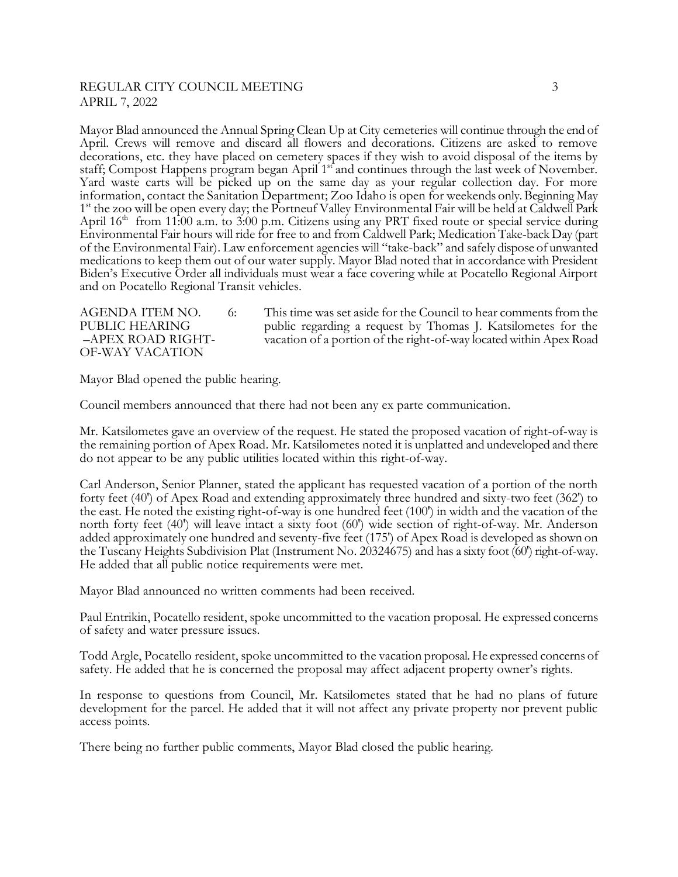### REGULAR CITY COUNCIL MEETING 3 APRIL 7, 2022

Mayor Blad announced the Annual Spring Clean Up at City cemeteries will continue through the end of April. Crews will remove and discard all flowers and decorations. Citizens are asked to remove decorations, etc. they have placed on cemetery spaces if they wish to avoid disposal of the items by staff; Compost Happens program began April 1<sup>st</sup> and continues through the last week of November. Yard waste carts will be picked up on the same day as your regular collection day. For more information, contact the Sanitation Department; Zoo Idaho is open for weekends only. Beginning May 1<sup>st</sup> the zoo will be open every day; the Portneuf Valley Environmental Fair will be held at Caldwell Park April 16<sup>th</sup> from 11:00 a.m. to 3:00 p.m. Citizens using any PRT fixed route or special service during Environmental Fair hours will ride for free to and from Caldwell Park; Medication Take-back Day (part of the Environmental Fair). Law enforcement agencies will "take-back" and safely dispose of unwanted medications to keep them out of our water supply. Mayor Blad noted that in accordance with President Biden's Executive Order all individuals must wear a face covering while at Pocatello Regional Airport and on Pocatello Regional Transit vehicles.

AGENDA ITEM NO. 6: This time was set aside for the Council to hear comments from the PUBLIC HEARING public regarding a request by Thomas J. Katsilometes for the –APEX ROAD RIGHT- vacation of a portion of the right-of-way located within Apex Road OF-WAY VACATION

Mayor Blad opened the public hearing.

Council members announced that there had not been any ex parte communication.

Mr. Katsilometes gave an overview of the request. He stated the proposed vacation of right-of-way is the remaining portion of Apex Road. Mr. Katsilometes noted it is unplatted and undeveloped and there do not appear to be any public utilities located within this right-of-way.

Carl Anderson, Senior Planner, stated the applicant has requested vacation of a portion of the north forty feet (40') of Apex Road and extending approximately three hundred and sixty-two feet (362') to the east. He noted the existing right-of-way is one hundred feet (100') in width and the vacation of the north forty feet (40') will leave intact a sixty foot (60') wide section of right-of-way. Mr. Anderson added approximately one hundred and seventy-five feet (175') of Apex Road is developed as shown on the Tuscany Heights Subdivision Plat (Instrument No. 20324675) and has a sixty foot (60') right-of-way. He added that all public notice requirements were met.

Mayor Blad announced no written comments had been received.

Paul Entrikin, Pocatello resident, spoke uncommitted to the vacation proposal. He expressed concerns of safety and water pressure issues.

Todd Argle, Pocatello resident, spoke uncommitted to the vacation proposal. He expressed concerns of safety. He added that he is concerned the proposal may affect adjacent property owner's rights.

In response to questions from Council, Mr. Katsilometes stated that he had no plans of future development for the parcel. He added that it will not affect any private property nor prevent public access points.

There being no further public comments, Mayor Blad closed the public hearing.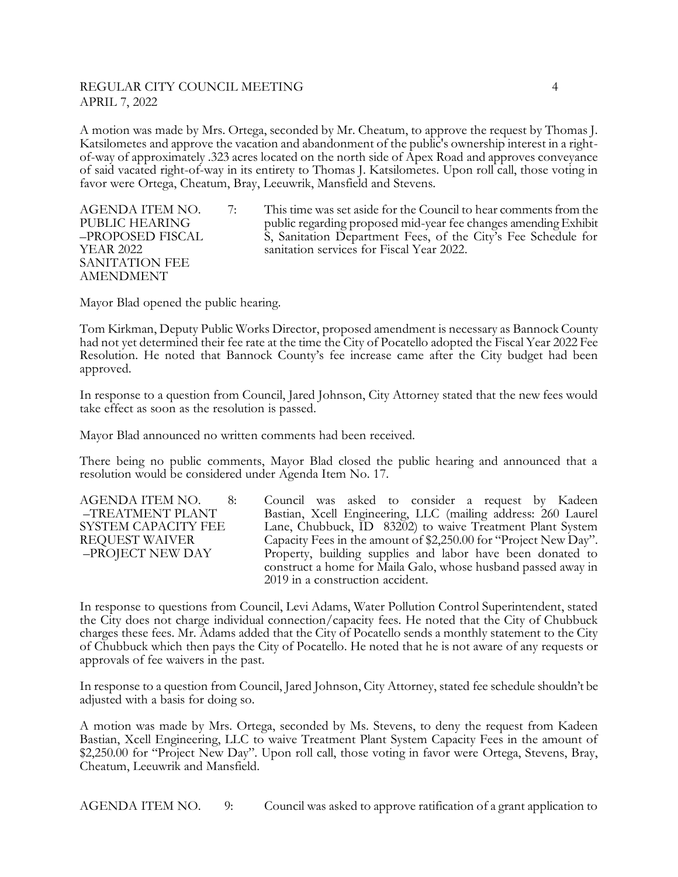## REGULAR CITY COUNCIL MEETING 4 APRIL 7, 2022

A motion was made by Mrs. Ortega, seconded by Mr. Cheatum, to approve the request by Thomas J. Katsilometes and approve the vacation and abandonment of the public's ownership interest in a rightof-way of approximately .323 acres located on the north side of Apex Road and approves conveyance of said vacated right-of-way in its entirety to Thomas J. Katsilometes. Upon roll call, those voting in favor were Ortega, Cheatum, Bray, Leeuwrik, Mansfield and Stevens.

SANITATION FEE AMENDMENT

AGENDA ITEM NO.  $\frac{7}{1}$  This time was set aside for the Council to hear comments from the PUBLIC HEARING public regarding proposed mid-year fee changes amending Exhibit<br>-PROPOSED FISCAL 5. Sanitation Department Fees. of the City's Fee Schedule for –PROPOSED FISCAL S, Sanitation Department Fees, of the City's Fee Schedule for sanitation services for Fiscal Year 2022.

Mayor Blad opened the public hearing.

Tom Kirkman, Deputy Public Works Director, proposed amendment is necessary as Bannock County had not yet determined their fee rate at the time the City of Pocatello adopted the Fiscal Year 2022 Fee Resolution. He noted that Bannock County's fee increase came after the City budget had been approved.

In response to a question from Council, Jared Johnson, City Attorney stated that the new fees would take effect as soon as the resolution is passed.

Mayor Blad announced no written comments had been received.

There being no public comments, Mayor Blad closed the public hearing and announced that a resolution would be considered under Agenda Item No. 17.

AGENDA ITEM NO. 8: Council was asked to consider a request by Kadeen –TREATMENT PLANT Bastian, Xcell Engineering, LLC (mailing address: 260 Laurel SYSTEM CAPACITY FEE Lane, Chubbuck, ID 83202) to waive Treatment Plant System REQUEST WAIVER Capacity Fees in the amount of \$2,250.00 for "Project New Day". –PROJECT NEW DAY Property, building supplies and labor have been donated to construct a home for Maila Galo, whose husband passed away in 2019 in a construction accident.

In response to questions from Council, Levi Adams, Water Pollution Control Superintendent, stated the City does not charge individual connection/capacity fees. He noted that the City of Chubbuck charges these fees. Mr. Adams added that the City of Pocatello sends a monthly statement to the City of Chubbuck which then pays the City of Pocatello. He noted that he is not aware of any requests or approvals of fee waivers in the past.

In response to a question from Council, Jared Johnson, City Attorney, stated fee schedule shouldn't be adjusted with a basis for doing so.

A motion was made by Mrs. Ortega, seconded by Ms. Stevens, to deny the request from Kadeen Bastian, Xcell Engineering, LLC to waive Treatment Plant System Capacity Fees in the amount of \$2,250.00 for "Project New Day". Upon roll call, those voting in favor were Ortega, Stevens, Bray, Cheatum, Leeuwrik and Mansfield.

AGENDA ITEM NO. 9: Council was asked to approve ratification of a grant application to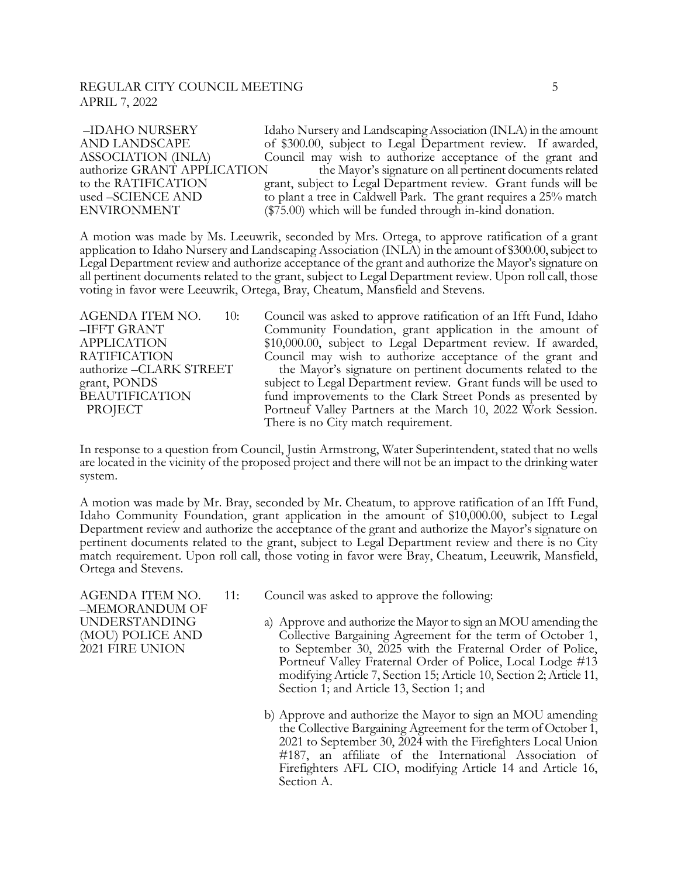## REGULAR CITY COUNCIL MEETING 5 APRIL 7, 2022

–IDAHO NURSERY Idaho Nursery and Landscaping Association (INLA) in the amount AND LANDSCAPE of \$300.00, subject to Legal Department review. If awarded, ASSOCIATION (INLA) Council may wish to authorize acceptance of the grant and authorize GRANT APPLICATION the Mayor's signature on all pertinent documents related to the RATIFICATION grant, subject to Legal Department review. Grant funds will be used –SCIENCE AND to plant a tree in Caldwell Park. The grant requires a 25% match ENVIRONMENT (\$75.00) which will be funded through in-kind donation.

A motion was made by Ms. Leeuwrik, seconded by Mrs. Ortega, to approve ratification of a grant application to Idaho Nursery and Landscaping Association (INLA) in the amount of \$300.00, subject to Legal Department review and authorize acceptance of the grant and authorize the Mayor's signature on all pertinent documents related to the grant, subject to Legal Department review. Upon roll call, those voting in favor were Leeuwrik, Ortega, Bray, Cheatum, Mansfield and Stevens.

AGENDA ITEM NO. 10: Council was asked to approve ratification of an Ifft Fund, Idaho –IFFT GRANT Community Foundation, grant application in the amount of APPLICATION \$10,000.00, subject to Legal Department review. If awarded, RATIFICATION Council may wish to authorize acceptance of the grant and authorize –CLARK STREET the Mayor's signature on pertinent documents related to the grant, PONDS subject to Legal Department review. Grant funds will be used to<br>BEAUTIFICATION fund improvements to the Clark Street Ponds as presented by fund improvements to the Clark Street Ponds as presented by PROJECT Portneuf Valley Partners at the March 10, 2022 Work Session. There is no City match requirement.

In response to a question from Council, Justin Armstrong, Water Superintendent, stated that no wells are located in the vicinity of the proposed project and there will not be an impact to the drinking water system.

A motion was made by Mr. Bray, seconded by Mr. Cheatum, to approve ratification of an Ifft Fund, Idaho Community Foundation, grant application in the amount of \$10,000.00, subject to Legal Department review and authorize the acceptance of the grant and authorize the Mayor's signature on pertinent documents related to the grant, subject to Legal Department review and there is no City match requirement. Upon roll call, those voting in favor were Bray, Cheatum, Leeuwrik, Mansfield, Ortega and Stevens.

–MEMORANDUM OF

- AGENDA ITEM NO. 11: Council was asked to approve the following:
- UNDERSTANDING a) Approve and authorize the Mayor to sign an MOU amending the (MOU) POLICE AND Collective Bargaining Agreement for the term of October 1, 2021 FIRE UNION to September 30, 2025 with the Fraternal Order of Police, Portneuf Valley Fraternal Order of Police, Local Lodge #13 modifying Article 7, Section 15; Article 10, Section 2; Article 11, Section 1; and Article 13, Section 1; and
	- b) Approve and authorize the Mayor to sign an MOU amending the Collective Bargaining Agreement for the term of October 1, 2021 to September 30, 2024 with the Firefighters Local Union #187, an affiliate of the International Association of Firefighters AFL CIO, modifying Article 14 and Article 16, Section A.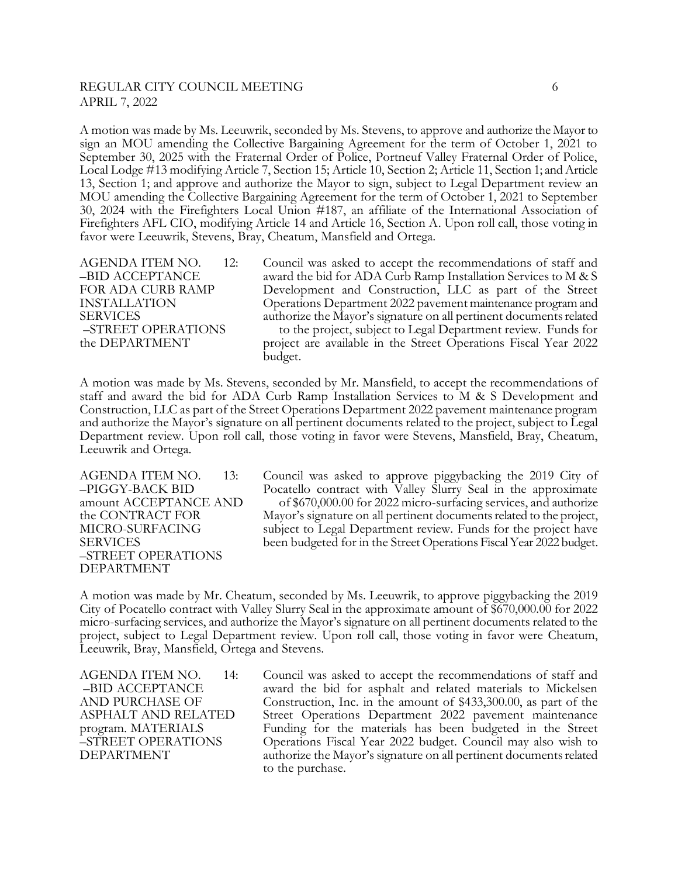#### REGULAR CITY COUNCIL MEETING 6 APRIL 7, 2022

A motion was made by Ms. Leeuwrik, seconded by Ms. Stevens, to approve and authorize the Mayor to sign an MOU amending the Collective Bargaining Agreement for the term of October 1, 2021 to September 30, 2025 with the Fraternal Order of Police, Portneuf Valley Fraternal Order of Police, Local Lodge #13 modifying Article 7, Section 15; Article 10, Section 2; Article 11, Section 1; and Article 13, Section 1; and approve and authorize the Mayor to sign, subject to Legal Department review an MOU amending the Collective Bargaining Agreement for the term of October 1, 2021 to September 30, 2024 with the Firefighters Local Union #187, an affiliate of the International Association of Firefighters AFL CIO, modifying Article 14 and Article 16, Section A. Upon roll call, those voting in favor were Leeuwrik, Stevens, Bray, Cheatum, Mansfield and Ortega.

AGENDA ITEM NO. 12: Council was asked to accept the recommendations of staff and –BID ACCEPTANCE award the bid for ADA Curb Ramp Installation Services to M & S FOR ADA CURB RAMP Development and Construction, LLC as part of the Street INSTALLATION Operations Department 2022 pavement maintenance program and SERVICES authorize the Mayor's signature on all pertinent documents related –STREET OPERATIONS to the project, subject to Legal Department review. Funds for the DEPARTMENT project are available in the Street Operations Fiscal Year 2022 budget.

A motion was made by Ms. Stevens, seconded by Mr. Mansfield, to accept the recommendations of staff and award the bid for ADA Curb Ramp Installation Services to M & S Development and Construction, LLC as part of the Street Operations Department 2022 pavement maintenance program and authorize the Mayor's signature on all pertinent documents related to the project, subject to Legal Department review. Upon roll call, those voting in favor were Stevens, Mansfield, Bray, Cheatum, Leeuwrik and Ortega.

–STREET OPERATIONS DEPARTMENT

AGENDA ITEM NO. 13: Council was asked to approve piggybacking the 2019 City of –PIGGY-BACK BID Pocatello contract with Valley Slurry Seal in the approximate amount ACCEPTANCE AND of \$670,000.00 for 2022 micro-surfacing services, and authorize the CONTRACT FOR Mayor's signature on all pertinent documents related to the project, MICRO-SURFACING subject to Legal Department review. Funds for the project have SERVICES been budgeted for in the Street Operations Fiscal Year 2022 budget.

A motion was made by Mr. Cheatum, seconded by Ms. Leeuwrik, to approve piggybacking the 2019 City of Pocatello contract with Valley Slurry Seal in the approximate amount of \$670,000.00 for 2022 micro-surfacing services, and authorize the Mayor's signature on all pertinent documents related to the project, subject to Legal Department review. Upon roll call, those voting in favor were Cheatum, Leeuwrik, Bray, Mansfield, Ortega and Stevens.

AGENDA ITEM NO. 14: Council was asked to accept the recommendations of staff and –BID ACCEPTANCE award the bid for asphalt and related materials to Mickelsen AND PURCHASE OF Construction, Inc. in the amount of \$433,300.00, as part of the ASPHALT AND RELATED Street Operations Department 2022 pavement maintenance program. MATERIALS Funding for the materials has been budgeted in the Street –STREET OPERATIONS Operations Fiscal Year 2022 budget. Council may also wish to DEPARTMENT authorize the Mayor's signature on all pertinent documents related to the purchase.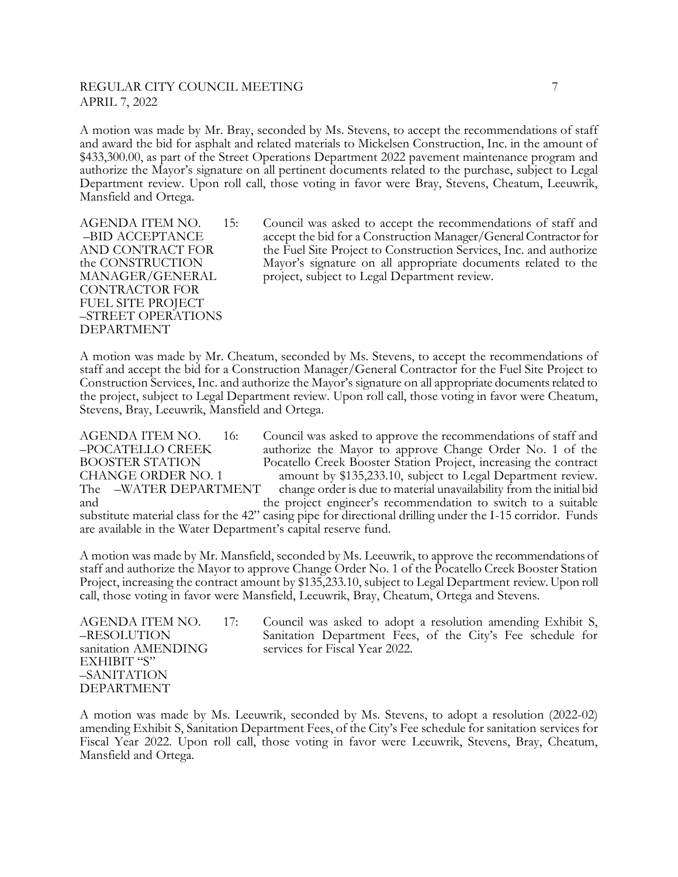# REGULAR CITY COUNCIL MEETING **7** APRIL 7, 2022

A motion was made by Mr. Bray, seconded by Ms. Stevens, to accept the recommendations of staff and award the bid for asphalt and related materials to Mickelsen Construction, Inc. in the amount of \$433,300.00, as part of the Street Operations Department 2022 pavement maintenance program and authorize the Mayor's signature on all pertinent documents related to the purchase, subject to Legal Department review. Upon roll call, those voting in favor were Bray, Stevens, Cheatum, Leeuwrik, Mansfield and Ortega.

CONTRACTOR FOR FUEL SITE PROJECT –STREET OPERATIONS DEPARTMENT

AGENDA ITEM NO. 15: Council was asked to accept the recommendations of staff and –BID ACCEPTANCE accept the bid for a Construction Manager/General Contractor for AND CONTRACT FOR the Fuel Site Project to Construction Services, Inc. and authorize the CONSTRUCTION Mayor's signature on all appropriate documents related to the MANAGER/GENERAL project, subject to Legal Department review.

A motion was made by Mr. Cheatum, seconded by Ms. Stevens, to accept the recommendations of staff and accept the bid for a Construction Manager/General Contractor for the Fuel Site Project to Construction Services, Inc. and authorize the Mayor's signature on all appropriate documents related to the project, subject to Legal Department review. Upon roll call, those voting in favor were Cheatum, Stevens, Bray, Leeuwrik, Mansfield and Ortega.

AGENDA ITEM NO. 16: Council was asked to approve the recommendations of staff and –POCATELLO CREEK authorize the Mayor to approve Change Order No. 1 of the BOOSTER STATION Pocatello Creek Booster Station Project, increasing the contract CHANGE ORDER NO. 1 amount by \$135,233.10, subject to Legal Department review. The –WATER DEPARTMENT change order is due to material unavailability from the initial bid and the project engineer's recommendation to switch to a suitable substitute material class for the 42" casing pipe for directional drilling under the I-15 corridor. Funds are available in the Water Department's capital reserve fund.

A motion was made by Mr. Mansfield, seconded by Ms. Leeuwrik, to approve the recommendations of staff and authorize the Mayor to approve Change Order No. 1 of the Pocatello Creek Booster Station Project, increasing the contract amount by \$135,233.10, subject to Legal Department review. Upon roll call, those voting in favor were Mansfield, Leeuwrik, Bray, Cheatum, Ortega and Stevens.

sanitation AMENDING services for Fiscal Year 2022. EXHIBIT "S" –SANITATION DEPARTMENT

AGENDA ITEM NO. 17: Council was asked to adopt a resolution amending Exhibit S, –RESOLUTION Sanitation Department Fees, of the City's Fee schedule for

A motion was made by Ms. Leeuwrik, seconded by Ms. Stevens, to adopt a resolution (2022-02) amending Exhibit S, Sanitation Department Fees, of the City's Fee schedule for sanitation services for Fiscal Year 2022. Upon roll call, those voting in favor were Leeuwrik, Stevens, Bray, Cheatum, Mansfield and Ortega.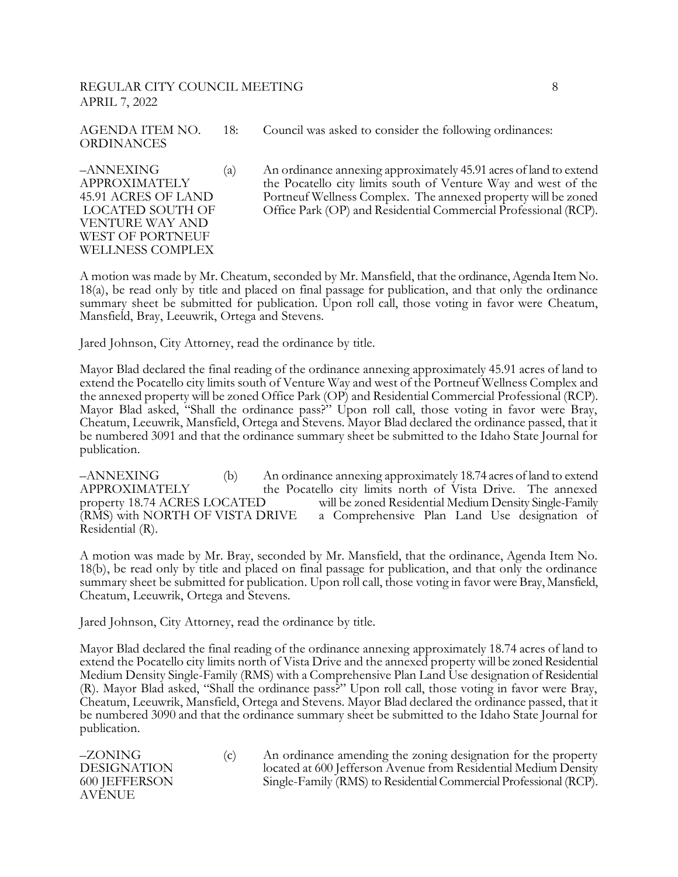## REGULAR CITY COUNCIL MEETING **8** 8 APRIL 7, 2022

AGENDA ITEM NO. 18: Council was asked to consider the following ordinances: ORDINANCES

VENTURE WAY AND WEST OF PORTNEUF WELLNESS COMPLEX

–ANNEXING (a) An ordinance annexing approximately 45.91 acres of land to extend APPROXIMATELY the Pocatello city limits south of Venture Way and west of the 45.91 ACRES OF LAND Portneuf Wellness Complex. The annexed property will be zoned LOCATED SOUTH OF Office Park (OP) and Residential Commercial Professional (RCP).

A motion was made by Mr. Cheatum, seconded by Mr. Mansfield, that the ordinance, Agenda Item No. 18(a), be read only by title and placed on final passage for publication, and that only the ordinance summary sheet be submitted for publication. Upon roll call, those voting in favor were Cheatum, Mansfield, Bray, Leeuwrik, Ortega and Stevens.

Jared Johnson, City Attorney, read the ordinance by title.

Mayor Blad declared the final reading of the ordinance annexing approximately 45.91 acres of land to extend the Pocatello city limits south of Venture Way and west of the Portneuf Wellness Complex and the annexed property will be zoned Office Park (OP) and Residential Commercial Professional (RCP). Mayor Blad asked, "Shall the ordinance pass?" Upon roll call, those voting in favor were Bray, Cheatum, Leeuwrik, Mansfield, Ortega and Stevens. Mayor Blad declared the ordinance passed, that it be numbered 3091 and that the ordinance summary sheet be submitted to the Idaho State Journal for publication.

–ANNEXING (b) An ordinance annexing approximately 18.74 acres of land to extend APPROXIMATELY the Pocatello city limits north of Vista Drive. The annexed property 18.74 ACRES LOCATED will be zoned Residential Medium Density Single-Family will be zoned Residential Medium Density Single-Family (RMS) with NORTH OF VISTA DRIVE a Comprehensive Plan Land Use designation of Residential (R).

A motion was made by Mr. Bray, seconded by Mr. Mansfield, that the ordinance, Agenda Item No. 18(b), be read only by title and placed on final passage for publication, and that only the ordinance summary sheet be submitted for publication. Upon roll call, those voting in favor were Bray, Mansfield, Cheatum, Leeuwrik, Ortega and Stevens.

Jared Johnson, City Attorney, read the ordinance by title.

Mayor Blad declared the final reading of the ordinance annexing approximately 18.74 acres of land to extend the Pocatello city limits north of Vista Drive and the annexed property will be zoned Residential Medium Density Single-Family (RMS) with a Comprehensive Plan Land Use designation of Residential (R). Mayor Blad asked, "Shall the ordinance pass?" Upon roll call, those voting in favor were Bray, Cheatum, Leeuwrik, Mansfield, Ortega and Stevens. Mayor Blad declared the ordinance passed, that it be numbered 3090 and that the ordinance summary sheet be submitted to the Idaho State Journal for publication.

| –ZONING            | An ordinance amending the zoning designation for the property     |
|--------------------|-------------------------------------------------------------------|
| <b>DESIGNATION</b> | located at 600 Jefferson Avenue from Residential Medium Density   |
| 600 JEFFERSON      | Single-Family (RMS) to Residential Commercial Professional (RCP). |
| AVENUE             |                                                                   |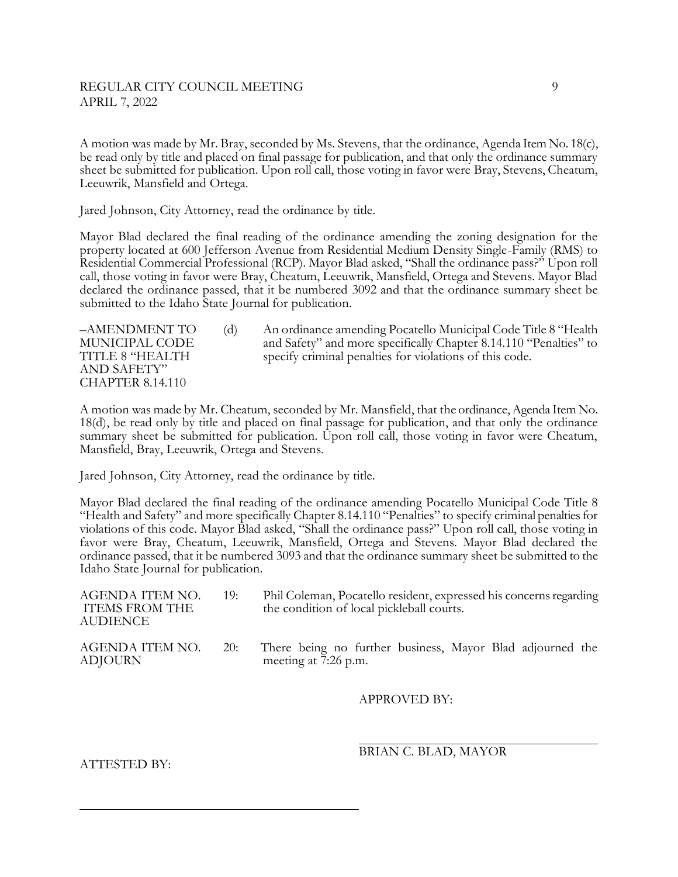A motion was made by Mr. Bray, seconded by Ms. Stevens, that the ordinance, Agenda Item No. 18(c), be read only by title and placed on final passage for publication, and that only the ordinance summary sheet be submitted for publication. Upon roll call, those voting in favor were Bray, Stevens, Cheatum, Leeuwrik, Mansfield and Ortega.

Jared Johnson, City Attorney, read the ordinance by title.

Mayor Blad declared the final reading of the ordinance amending the zoning designation for the property located at 600 Jefferson Avenue from Residential Medium Density Single-Family (RMS) to Residential Commercial Professional (RCP). Mayor Blad asked, "Shall the ordinance pass?" Upon roll call, those voting in favor were Bray, Cheatum, Leeuwrik, Mansfield, Ortega and Stevens. Mayor Blad declared the ordinance passed, that it be numbered 3092 and that the ordinance summary sheet be submitted to the Idaho State Journal for publication.

AND SAFETY" CHAPTER 8.14.110

–AMENDMENT TO (d) An ordinance amending Pocatello Municipal Code Title 8 "Health MUNICIPAL CODE and Safety" and more specifically Chapter 8.14.110 "Penalties" to TITLE 8 "HEALTH specify criminal penalties for violations of this code.

A motion was made by Mr. Cheatum, seconded by Mr. Mansfield, that the ordinance, Agenda Item No. 18(d), be read only by title and placed on final passage for publication, and that only the ordinance summary sheet be submitted for publication. Upon roll call, those voting in favor were Cheatum, Mansfield, Bray, Leeuwrik, Ortega and Stevens.

Jared Johnson, City Attorney, read the ordinance by title.

l,

Mayor Blad declared the final reading of the ordinance amending Pocatello Municipal Code Title 8 "Health and Safety" and more specifically Chapter 8.14.110 "Penalties" to specify criminal penalties for violations of this code. Mayor Blad asked, "Shall the ordinance pass?" Upon roll call, those voting in favor were Bray, Cheatum, Leeuwrik, Mansfield, Ortega and Stevens. Mayor Blad declared the ordinance passed, that it be numbered 3093 and that the ordinance summary sheet be submitted to the Idaho State Journal for publication.

| AGENDA ITEM NO.<br><b>ITEMS FROM THE</b><br>AUDIENCE | 19: | Phil Coleman, Pocatello resident, expressed his concerns regarding<br>the condition of local pickleball courts. |
|------------------------------------------------------|-----|-----------------------------------------------------------------------------------------------------------------|
| AGENDA ITEM NO.<br>ADJOURN                           | 20: | There being no further business, Mayor Blad adjourned the<br>meeting at 7:26 p.m.                               |

#### APPROVED BY:

### l, BRIAN C. BLAD, MAYOR

ATTESTED BY: